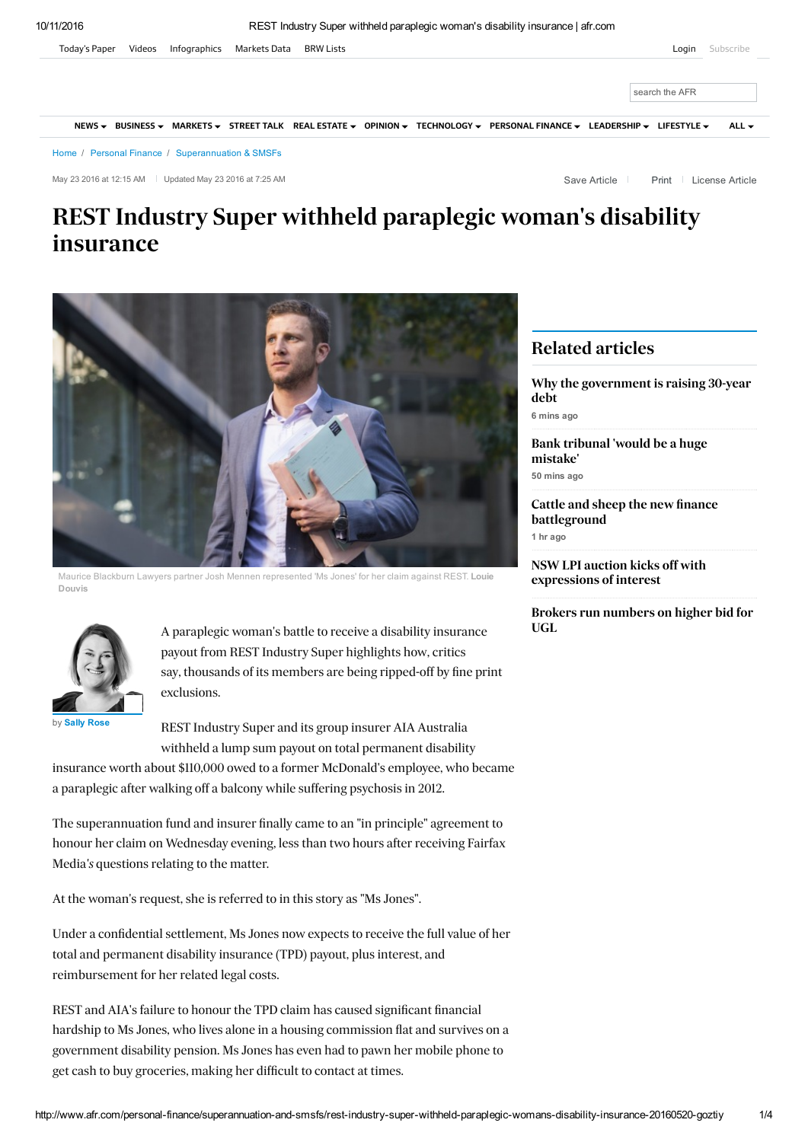

May 23 2016 at 12:15 AM Updated May 23 2016 at 7:25 AM

Save Article | [Print](javascript:window.print();) | [License](http://rightsportal.copyright.com.au/pages/republicationpage.aspx?publisher=fxj&publication=AFR&author=Sally%20Rose&title=REST+Industry+Super+withheld+paraplegic+woman%27s+disability+insurance+&publicationdate=22/05/2016&url=http://www.afr.com/personal-finance/superannuation-and-smsfs/rest-industry-super-withheld-paraplegic-womans-disability-insurance-20160520-goztiy) Article

# REST Industry Super withheld paraplegic woman's disability insurance



Maurice Blackburn Lawyers partner Josh Mennen represented 'Ms Jones' for her claim against REST. Louie Douvis



by **Sally [Rose](http://www.afr.com/personal-finance/superannuation-and-smsfs/sally-rose-hvf3q.html)** 

A paraplegic woman's battle to receive a disability insurance payout from REST Industry Super highlights how, critics say, thousands of its members are being ripped-off by fine print exclusions.

REST Industry Super and its group insurer AIA Australia withheld a lump sum payout on total permanent disability

insurance worth about \$110,000 owed to a former McDonald's employee, who became a paraplegic after walking off a balcony while suffering psychosis in 2012.

The superannuation fund and insurer finally came to an "in principle" agreement to honour her claim on Wednesday evening, less than two hours after receiving Fairfax Media's questions relating to the matter.

At the woman's request, she is referred to in this story as "Ms Jones".

Under a confidential settlement, Ms Jones now expects to receive the full value of her total and permanent disability insurance (TPD) payout, plus interest, and reimbursement for her related legal costs.

REST and AIA's failure to honour the TPD claim has caused significant financial hardship to Ms Jones, who lives alone in a housing commission flat and survives on a government disability pension. Ms Jones has even had to pawn her mobile phone to get cash to buy groceries, making her difficult to contact at times.

## Related articles

Why the [government](http://www.afr.com/business/banking-and-finance/hedge-funds/why-the-government-is-raising-30year-debt-20161011-grzn4a) is raising 30-year debt

6 mins ago

50 mins ago Bank tribunal 'would be a huge [mistake'](http://www.afr.com/business/banking-and-finance/financial-services/credit-ombudsman-says-new-bank-tribunal-would-be-a-huge-mistake-20161010-grzco8)

1 hr ago Cattle and sheep the new finance [battleground](http://www.afr.com/business/agriculture/livestock/cattle-and-sheep-join-home-loans-as-a-financing-battleground-20161010-grzbgb)

NSW LPI auction kicks off with [expressions](http://www.afr.com/street-talk/nsw-lpi-auction-finally-kicks-off-with-expressions-of-interest-20161010-grzd4z) of interest

Brokers run [numbers](http://www.afr.com/street-talk/brokers-run-numbers-on-higher-bid-for-ugl-20161010-grzbvr) on higher bid for UGL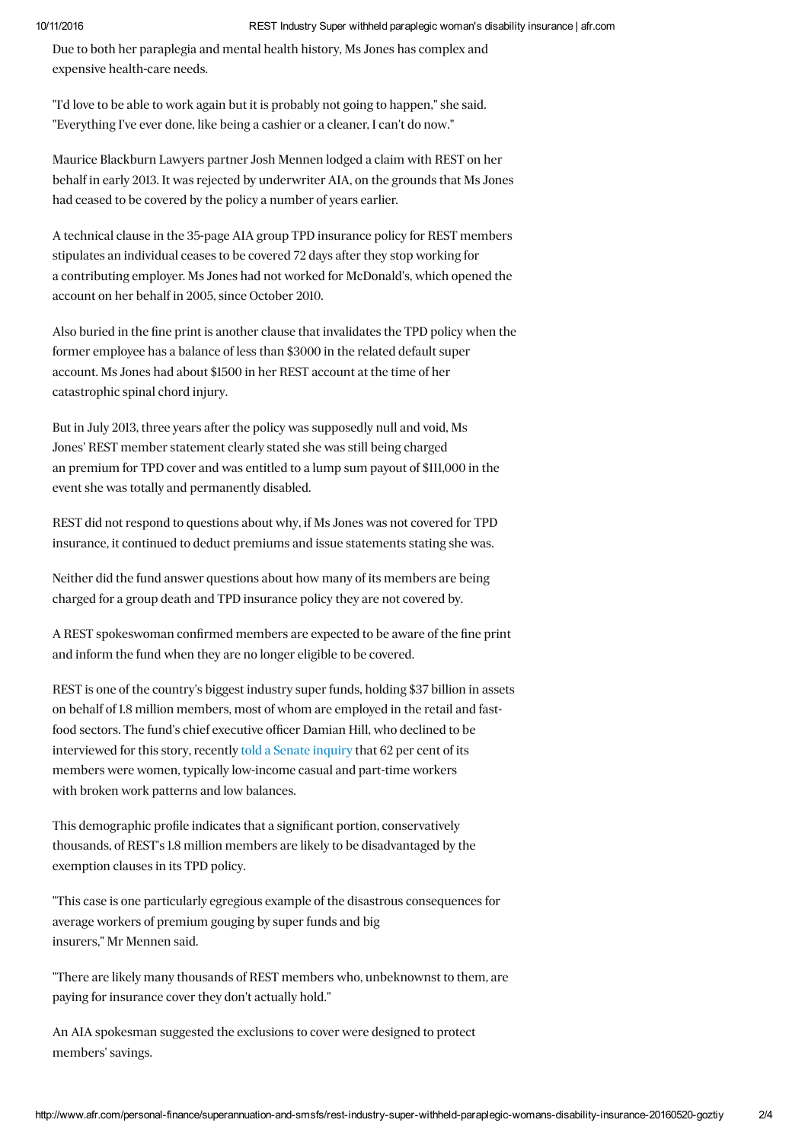Due to both her paraplegia and mental health history, Ms Jones has complex and expensive health-care needs.

"I'd love to be able to work again but it is probably not going to happen," she said. "Everything I've ever done, like being a cashier or a cleaner, I can't do now."

Maurice Blackburn Lawyers partner Josh Mennen lodged a claim with REST on her behalf in early 2013. It was rejected by underwriter AIA, on the grounds that Ms Jones had ceased to be covered by the policy a number of years earlier.

A technical clause in the 35-page AIA group TPD insurance policy for REST members stipulates an individual ceases to be covered 72 days after they stop working for a contributing employer. Ms Jones had not worked for McDonald's, which opened the account on her behalf in 2005, since October 2010.

Also buried in the fine print is another clause that invalidates the TPD policy when the former employee has a balance of less than \$3000 in the related default super account. Ms Jones had about \$1500 in her REST account at the time of her catastrophic spinal chord injury.

But in July 2013, three years after the policy was supposedly null and void, Ms Jones' REST member statement clearly stated she was still being charged an premium for TPD cover and was entitled to a lump sum payout of \$111,000 in the event she was totally and permanently disabled.

REST did not respond to questions about why, if Ms Jones was not covered for TPD insurance, it continued to deduct premiums and issue statements stating she was.

Neither did the fund answer questions about how many of its members are being charged for a group death and TPD insurance policy they are not covered by.

A REST spokeswoman confirmed members are expected to be aware of the fine print and inform the fund when they are no longer eligible to be covered.

REST is one of the country's biggest industry super funds, holding \$37 billion in assets on behalf of 1.8 million members, most of whom are employed in the retail and fastfood sectors. The fund's chief executive officer Damian Hill, who declined to be interviewed for this story, recently told a Senate [inquiry](http://www.smh.com.au/business/banking-and-finance/rest-industry-super-boss-damian-hill-wants-compulsory-contributions-at-15pc-20160303-gn9d38.html) that 62 per cent of its members were women, typically low-income casual and part-time workers with broken work patterns and low balances.

This demographic profile indicates that a significant portion, conservatively thousands, of REST's 1.8 million members are likely to be disadvantaged by the exemption clauses in its TPD policy.

"This case is one particularly egregious example of the disastrous consequences for average workers of premium gouging by super funds and big insurers," Mr Mennen said.

"There are likely many thousands of REST members who, unbeknownst to them, are paying for insurance cover they don't actually hold."

An AIA spokesman suggested the exclusions to cover were designed to protect members' savings.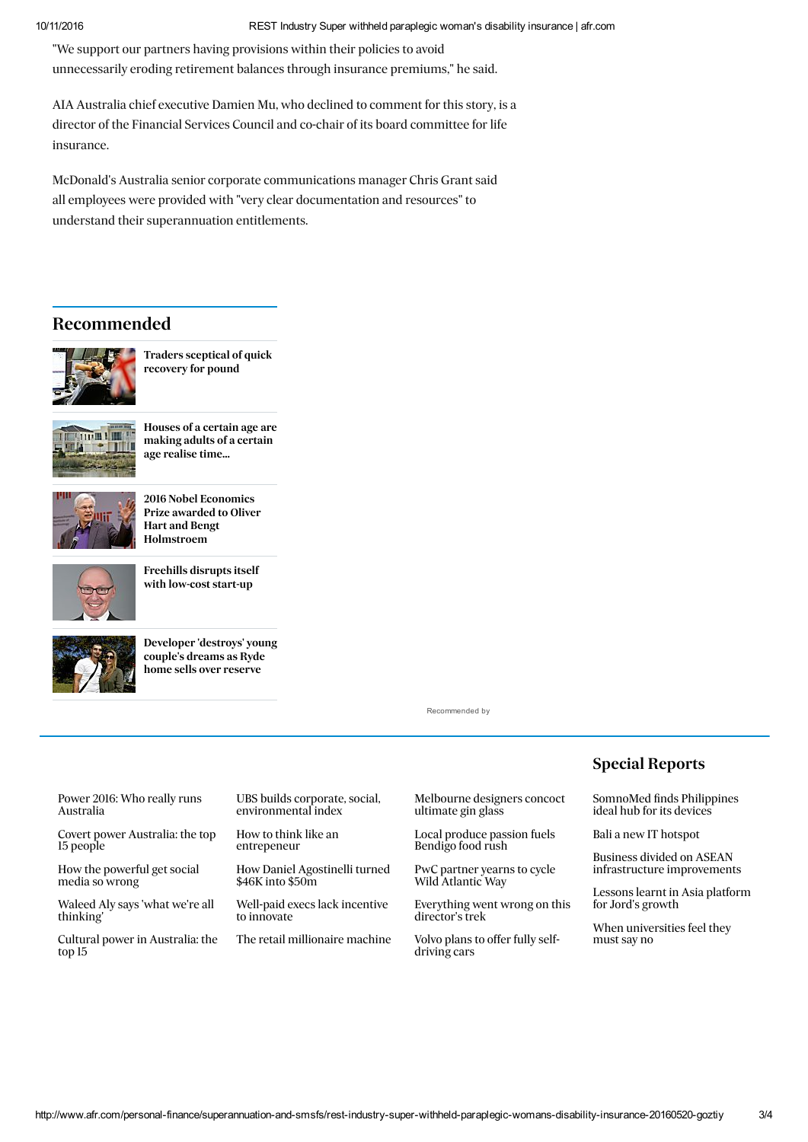10/11/2016 REST Industry Super withheld paraplegic woman's disability insurance | afr.com

"We support our partners having provisions within their policies to avoid unnecessarily eroding retirement balances through insurance premiums," he said.

AIA Australia chief executive Damien Mu, who declined to comment for this story, is a director of the Financial Services Council and co-chair of its board committee for life insurance.

McDonald's Australia senior corporate communications manager Chris Grant said all employees were provided with "very clear documentation and resources" to understand their superannuation entitlements.

# Recommended



Traders [sceptical](http://www.afr.com/markets/currencies/traders-sceptical-of-quick-recovery-for-pound-20161009-gry7pw) of quick recovery for pound



Houses of a certain age are [making](http://www.afr.com/opinion/columnists/its-high-time-for-a-separation--from-my-house-20160925-gro2as) adults of a certain age realise time…



2016 Nobel Economics Prize awarded to Oliver Hart and Bengt [Holmstroem](http://www.afr.com/news/economy/monetary-policy/2016-nobel-economics-prize-awarded-to-oliver-hart-and-bengt-holmstroem-20161010-grz9us)



[Freehills](http://www.afr.com/business/legal/herbert-smith-freehills-disrupts-itself-with-lowcost-melbourne-startup-20160913-grfe9g) disrupts itself with low-cost start-up



[Developer](http://www.afr.com/real-estate/developer-destroys-young-couples-dreams-as-ryde-home-sells-over-reserve-20161003-grtnu7) 'destroys' young couple's dreams as Ryde home sells over reserve

[Recommended](http://www.outbrain.com/what-is/default/en) by

#### Power 2016: Who really runs [Australia](http://www.afr.com/brand/afr-magazine/power-2016-who-really-runs-australia-and-why-were-so-frustrated-with-them-20160812-gqrb85)

Covert power [Australia:](http://www.afr.com/brand/afr-magazine/the-15-most-covertly-powerful-people-in-australia-in-2016-20160812-gqrc5h) the top 15 people

How the [powerful](http://www.afr.com/brand/afr-magazine/how-the-powerful-get-social-media-so-wrong-20160812-gqrgzp) get social media so wrong

Waleed Aly says 'what we're all [thinking'](http://www.afr.com/brand/afr-magazine/the-projects-waleed-aly-can-reach-young-people-in-a-way-others-cant-20160812-gqrdxr)

Cultural power in [Australia:](http://www.afr.com/brand/afr-magazine/the-15-most-culturally-powerful-people-in-australia-in-2016-20160812-gqre6j) the top 15

UBS builds corporate, social, [environmental](http://www.afr.com/brand/boss/ubs-builds-index-to-rate-corporate-social-and-environmental-impact-20160814-gqsi7q) index

How to think like an [entrepeneur](http://www.afr.com/brand/boss/why-an-entrepreneurial-mindset-is-now-essential-in-big-business-20160927-grpa12)

How Daniel [Agostinelli](http://www.afr.com/brand/boss/how-rcgs-daniel-agostinelli-bet-his-and-his-parents-house-on-success-20160913-grf2kt) turned \$46K into \$50m

[Well-paid](http://www.afr.com/brand/boss/bcg-digital-ventures-shows-corporates-how-to-build-new-growth-options-20160920-grknlz) execs lack incentive to innovate

The retail [millionaire](http://www.afr.com/brand/boss/billionaire-brett-blundys-magnificent-seven-20160911-grdyuf) machine

[Melbourne](http://www.afr.com/lifestyle/food-and-wine/wine-and-spirits/denver--liely-does-it-again-with-a-glass-purposemade-for-drinking-gin-20161007-grxdqc) designers concoct ultimate gin glass

Local [produce](http://www.afr.com/lifestyle/a-passion-for-local-produce-fuels-bendigo-food-rush-20160930-grse9f) passion fuels Bendigo food rush

PwC partner yearns to cycle Wild [Atlantic](http://www.afr.com/brand/life-and-leisure/david-kelly-of-pwc-yearns-to-cycle-irelands-wild-atlantic-way-20161003-gru0a1) Way

[Everything](http://www.afr.com/lifestyle/travel/if-it-could-go-wrong-it-did-on-director-justin-taylors-himalayas-trek-20161002-grtihp) went wrong on this director's trek

Volvo plans to offer fully self[driving](http://www.afr.com/brand/life-and-leisure/volvo-plans-to-offer-fully-selfdriving-cars-to-luxury-buyers-20160929-grrvc6) cars

# [Specia](http://www.afr.com/life-and-leisure)l [Reports](http://www.afr.com/news/special-reports)

[SomnoMed](http://www.afr.com/news/special-reports/asia-business-outlook/somnomed-finds-philippines-ideal-hub-for-its-sleep-devices-20161009-gryhj6) finds Philippines ideal hub for its devices

Bali a new IT [hotspot](http://www.afr.com/news/special-reports/asia-business-outlook/bali-as-a-new-it-hotspot-as-innovation-takes-hold-20161009-gry6px)

Business divided on ASEAN infrastructure [improvements](http://www.afr.com/news/special-reports/asia-business-outlook/business-divided-on-the-state-of-asean-infrastructure-improvements-20161006-grw6l9)

Lessons learnt in Asia [platform](http://www.afr.com/news/special-reports/asia-business-outlook/lessons-learned-in-asia-platform-for-jords-global-growth-20161009-gry4cb) for Jord's growth

When [universities](http://www.afr.com/news/special-reports/business-family-and-you/when-universities-feel-they-must-say-no-to-industry-20161005-grvifw) feel they must say no